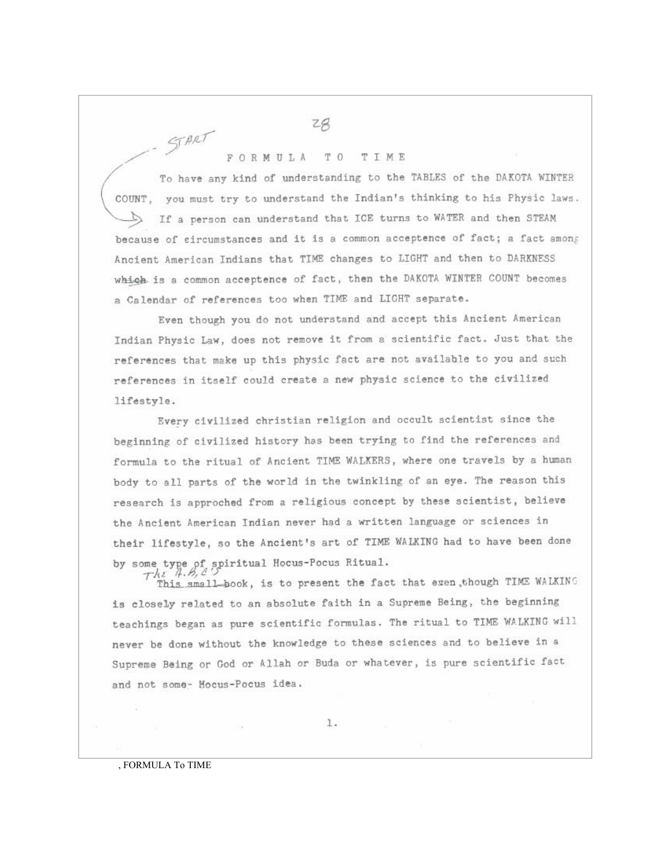## FORMULA TO TIME

START

To have any kind of understanding to the TABLES of the DAKOTA WINTER COUNT, you must try to understand the Indian's thinking to his Physic laws. If a person can understand that ICE turns to WATER and then STEAM because of eircumstances and it is a common acceptence of fact; a fact among Ancient American Indians that TIME changes to LIGHT and then to DARKNESS which is a common acceptence of fact, then the DAKOTA WINTER COUNT becomes a Calendar of references too when TIME and LIGHT separate.

Even though you do not understand and accept this Ancient American Indian Physic Law, does not remove it from a scientific fact. Just that the references that make up this physic fact are not available to you and such references in itself could create a new physic science to the civilized lifestyle.

Every civilized christian religion and occult scientist since the beginning of civilized history has been trying to find the references and formula to the ritual of Ancient TIME WALKERS, where one travels by a human body to all parts of the world in the twinkling of an eye. The reason this research is approched from a religious concept by these scientist, believe the Ancient American Indian never had a written language or sciences in their lifestyle, so the Ancient's art of TIME WALKING had to have been done by some type of spiritual Hocus-Pocus Ritual.<br>  $\tau h \in \mathcal{A}, \mathcal{B}, \mathcal{L}$ 

This small book, is to present the fact that exen, though TIME WALKING is closely related to an absolute faith in a Supreme Being, the beginning teachings began as pure scientific formulas. The ritual to TIME WALKING will never be done without the knowledge to these sciences and to believe in a Supreme Being or God or Allah or Buda or whatever, is pure scientific fact and not some- Hocus-Pocus idea.

1.

## , FORMULA To TIME

204.00